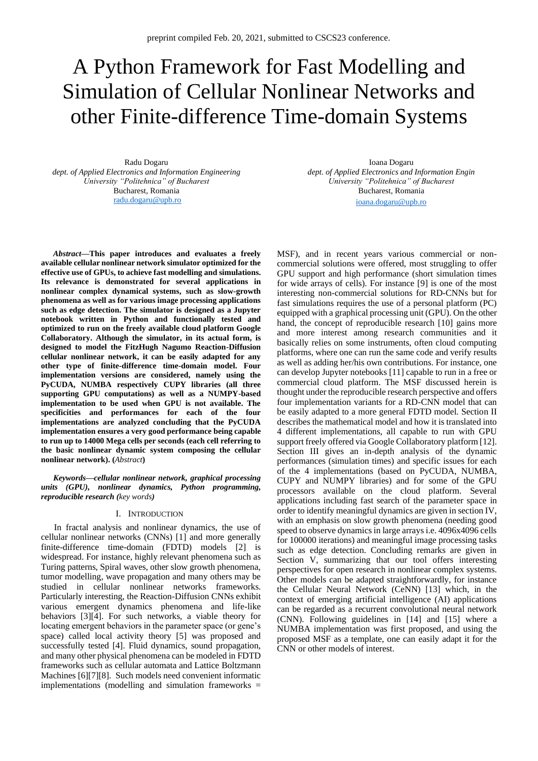# A Python Framework for Fast Modelling and Simulation of Cellular Nonlinear Networks and other Finite-difference Time-domain Systems

Radu Dogaru *dept. of Applied Electronics and Information Engineering University "Politehnica" of Bucharest* Bucharest, Romania [radu.dogaru@upb.ro](mailto:radu.dogaru@upb.ro) 

*Abstract***—This paper introduces and evaluates a freely available cellular nonlinear network simulator optimized for the effective use of GPUs, to achieve fast modelling and simulations. Its relevance is demonstrated for several applications in nonlinear complex dynamical systems, such as slow-growth phenomena as well as for various image processing applications such as edge detection. The simulator is designed as a Jupyter notebook written in Python and functionally tested and optimized to run on the freely available cloud platform Google Collaboratory. Although the simulator, in its actual form, is designed to model the FitzHugh Nagumo Reaction-Diffusion cellular nonlinear network, it can be easily adapted for any other type of finite-difference time-domain model. Four implementation versions are considered, namely using the PyCUDA, NUMBA respectively CUPY libraries (all three supporting GPU computations) as well as a NUMPY-based implementation to be used when GPU is not available. The specificities and performances for each of the four implementations are analyzed concluding that the PyCUDA implementation ensures a very good performance being capable to run up to 14000 Mega cells per seconds (each cell referring to the basic nonlinear dynamic system composing the cellular nonlinear network). (***Abstract***)**

*Keywords—cellular nonlinear network, graphical processing units (GPU), nonlinear dynamics, Python programming, reproducible research (key words)*

## I. INTRODUCTION

In fractal analysis and nonlinear dynamics, the use of cellular nonlinear networks (CNNs) [1] and more generally finite-difference time-domain (FDTD) models [2] is widespread. For instance, highly relevant phenomena such as Turing patterns, Spiral waves, other slow growth phenomena, tumor modelling, wave propagation and many others may be studied in cellular nonlinear networks frameworks. Particularly interesting, the Reaction-Diffusion CNNs exhibit various emergent dynamics phenomena and life-like behaviors [3][4]. For such networks, a viable theory for locating emergent behaviors in the parameter space (or gene's space) called local activity theory [5] was proposed and successfully tested [4]. Fluid dynamics, sound propagation, and many other physical phenomena can be modeled in FDTD frameworks such as cellular automata and Lattice Boltzmann Machines [6][7][8]. Such models need convenient informatic implementations (modelling and simulation frameworks =

Ioana Dogaru *dept. of Applied Electronics and Information Engin University "Politehnica" of Bucharest* Bucharest, Romania

[ioana.dogaru@upb.ro](mailto:ioana.dogaru@upb.ro)

MSF), and in recent years various commercial or noncommercial solutions were offered, most struggling to offer GPU support and high performance (short simulation times for wide arrays of cells). For instance [9] is one of the most interesting non-commercial solutions for RD-CNNs but for fast simulations requires the use of a personal platform (PC) equipped with a graphical processing unit (GPU). On the other hand, the concept of reproducible research [10] gains more and more interest among research communities and it basically relies on some instruments, often cloud computing platforms, where one can run the same code and verify results as well as adding her/his own contributions. For instance, one can develop Jupyter notebooks [11] capable to run in a free or commercial cloud platform. The MSF discussed herein is thought under the reproducible research perspective and offers four implementation variants for a RD-CNN model that can be easily adapted to a more general FDTD model. Section II describes the mathematical model and how it is translated into 4 different implementations, all capable to run with GPU support freely offered via Google Collaboratory platform [12]. Section III gives an in-depth analysis of the dynamic performances (simulation times) and specific issues for each of the 4 implementations (based on PyCUDA, NUMBA, CUPY and NUMPY libraries) and for some of the GPU processors available on the cloud platform. Several applications including fast search of the parameter space in order to identify meaningful dynamics are given in section IV, with an emphasis on slow growth phenomena (needing good speed to observe dynamics in large arrays i.e. 4096x4096 cells for 100000 iterations) and meaningful image processing tasks such as edge detection. Concluding remarks are given in Section V, summarizing that our tool offers interesting perspectives for open research in nonlinear complex systems. Other models can be adapted straightforwardly, for instance the Cellular Neural Network (CeNN) [13] which, in the context of emerging artificial intelligence (AI) applications can be regarded as a recurrent convolutional neural network (CNN). Following guidelines in [14] and [15] where a NUMBA implementation was first proposed, and using the proposed MSF as a template, one can easily adapt it for the CNN or other models of interest.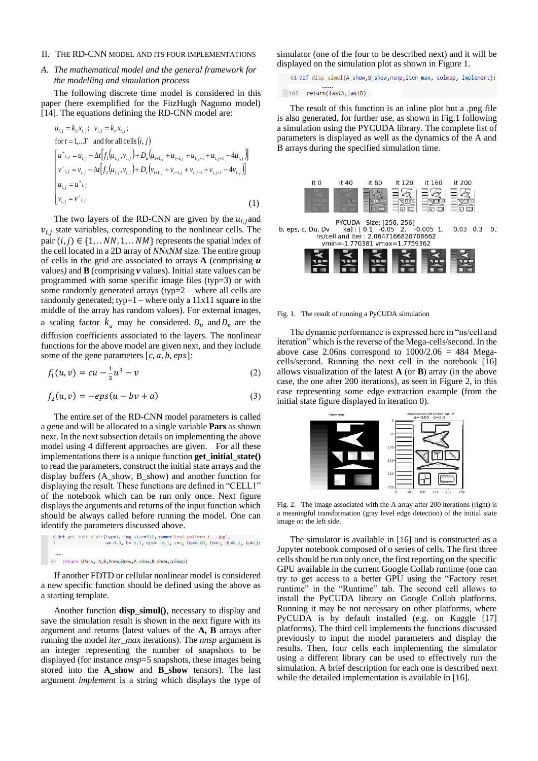## II. THE RD-CNN MODEL AND ITS FOUR IMPLEMENTATIONS

# *A. The mathematical model and the general framework for the modelling and simulation process*

The following discrete time model is considered in this paper (here exemplified for the FitzHugh Nagumo model) [14]. The equations defining the RD-CNN model are:

$$
u_{i,j} = k_a x_{i,j}; \quad v_{i,j} = k_a x_{i,j};
$$
  
for  $t = 1, ...T$  and for all cells  $(i, j)$   

$$
\begin{bmatrix} u^+_{i,j} = u_{i,j} + \Delta t [f_1(u_{i,j}, v_{i,j}) + D_u(u_{i+1,j} + u_{i-1,j} + u_{i,j-1} + u_{i,j+1} - 4u_{i,j})] \\ v^+_{i,j} = v_{i,j} + \Delta t [f_2(u_{i,j}, v_{i,j}) + D_v(v_{i+1,j} + v_{i-1,j} + v_{i,j-1} + v_{i,j+1} - 4v_{i,j})] \\ u_{i,j} = u^+_{i,j} \\ v_{i,j} = v^+_{i,j} \end{bmatrix}
$$
(1)

The two layers of the RD-CNN are given by the  $u_{i,i}$  and  $v_{i,j}$  state variables, corresponding to the nonlinear cells. The pair  $(i, j) \in \{1, \ldots NN, 1, \ldots NM\}$  represents the spatial index of the cell located in a 2D array of *NNxNM* size. The entire group of cells in the grid are associated to arrays **A** (comprising *u* values*)* and **B** (comprising *v* values). Initial state values can be programmed with some specific image files (typ=3) or with some randomly generated arrays (typ= $2$  – where all cells are randomly generated; typ= $1 -$  where only a  $11x11$  square in the middle of the array has random values). For external images, a scaling factor  $k_a$  may be considered.  $D_u$  and  $D_v$  are the diffusion coefficients associated to the layers. The nonlinear functions for the above model are given next, and they include some of the gene parameters  $[c, a, b, eps]$ :

$$
f_1(u,v) = cu - \frac{1}{3}u^3 - v \tag{2}
$$

$$
f_2(u,v) = -eps(u - bv + a)
$$
 (3)

The entire set of the RD-CNN model parameters is called a *gene* and will be allocated to a single variable **Pars** as shown next. In the next subsection details on implementing the above model using 4 different approaches are given. For all these implementations there is a unique function **get\_initial\_state()** to read the parameters, construct the initial state arrays and the display buffers (A\_show, B\_show) and another function for displaying the result. These functions are defined in "CELL1" of the notebook which can be run only once. Next figure displays the arguments and returns of the input function which should be always called before running the model. One can identify the parameters discussed above.

If another FDTD or cellular nonlinear model is considered a new specific function should be defined using the above as a starting template.

Another function **disp\_simul()**, necessary to display and save the simulation result is shown in the next figure with its argument and returns (latest values of the **A, B** arrays after running the model *iter\_max* iterations). The *nnsp* argument is an integer representing the number of snapshots to be displayed (for instance *nnsp*=5 snapshots, these images being stored into the **A\_show** and **B\_show** tensors). The last argument *implement* is a string which displays the type of

simulator (one of the four to be described next) and it will be displayed on the simulation plot as shown in Figure 1.

61 def disp\_simul(A\_show,B\_show,nsnp,iter\_max, colmap, implement):

 $102$  return(lastA,lastB)

The result of this function is an inline plot but a .png file is also generated, for further use, as shown in Fig.1 following a simulation using the PYCUDA library. The complete list of parameters is displayed as well as the dynamics of the A and B arrays during the specified simulation time.



PYCUDA Size: [256, 256]<br>u, Dv ka] : [ 0.1 -0.05 2. -0.005<br>ns/cell and iter : 2.0647166820708662 b, eps, c, Du, Dv .<br>-0.005 1.  $0.03$   $0.3$   $0.1$ vmin=-1.770381 vmax=1.7759362



#### Fig. 1. The result of running a PyCUDA simulation

The dynamic performance is expressed here in "ns/cell and iteration" which is the reverse of the Mega-cells/second. In the above case 2.06ns correspond to  $1000/2.06 = 484$  Megacells/second. Running the next cell in the notebook [16] allows visualization of the latest **A** (or **B**) array (in the above case, the one after 200 iterations), as seen in Figure 2, in this case representing some edge extraction example (from the initial state figure displayed in iteration 0).



Fig. 2. The image associated with the A array after 200 iterations (right) is a meaningful transformation (gray level edge detection) of the initial state image on the left side.

The simulator is available in [16] and is constructed as a Jupyter notebook composed of o series of cells. The first three cells should be run only once, the first reporting on the specific GPU available in the current Google Collab runtime (one can try to get access to a better GPU using the "Factory reset runtime" in the "Runtime" tab. The second cell allows to install the PyCUDA library on Google Collab platforms. Running it may be not necessary on other platforms, where PyCUDA is by default installed (e.g. on Kaggle [17] platforms). The third cell implements the functions discussed previously to input the model parameters and display the results. Then, four cells each implementing the simulator using a different library can be used to effectively run the simulation. A brief description for each one is described next while the detailed implementation is available in [16].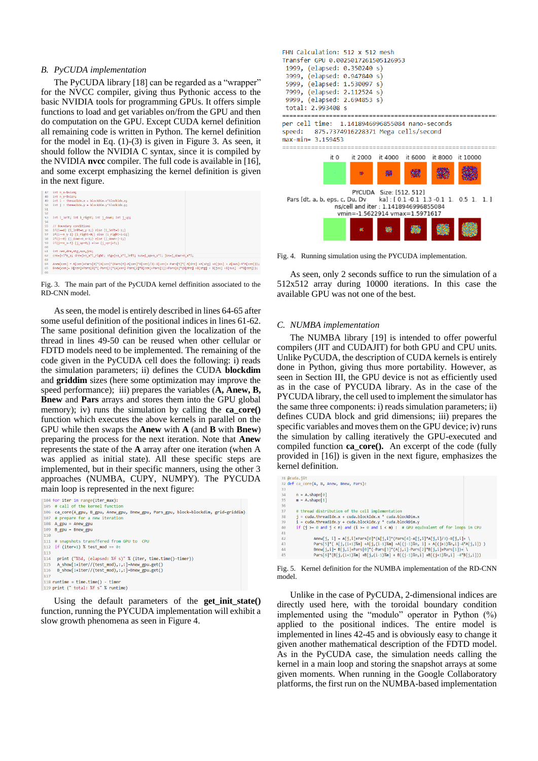#### *B. PyCUDA implementation*

The PyCUDA library [18] can be regarded as a "wrapper" for the NVCC compiler, giving thus Pythonic access to the basic NVIDIA tools for programming GPUs. It offers simple functions to load and get variables on/from the GPU and then do computation on the GPU. Except CUDA kernel definition all remaining code is written in Python. The kernel definition for the model in Eq. (1)-(3) is given in Figure 3. As seen, it should follow the NVIDIA C syntax, since it is compiled by the NVIDIA **nvcc** compiler. The full code is available in [16], and some excerpt emphasizing the kernel definition is given in the next figure.

| 47     | int n x-\$sizm;                                                                                                            |
|--------|----------------------------------------------------------------------------------------------------------------------------|
| 48     | int n y=\$sizn;                                                                                                            |
| 49     | int i - threadIdx.x + blockDim.x*blockIdx.x;                                                                               |
| 50     | $int j = theaddx.y + blockDim.y*blockIdx.y;$                                                                               |
| 51     |                                                                                                                            |
| 52     |                                                                                                                            |
| 53     | int i left; int i right; int j down; int j up;                                                                             |
| 54     |                                                                                                                            |
| 55     | // Boundary conditions                                                                                                     |
| 56     | $if(i == 0)$ {i left=n y-1;} else {i left=i-1;}                                                                            |
| 57     | if(i==n_y-1) {i_right=0;} else {i_right=i+1;}                                                                              |
| 58     | $if(j=0)$ {j down-n x-1;} else {j down-j-1;}                                                                               |
| 59     | if(j==n x-1) {j up=0;} else {j up=j+1;}                                                                                    |
| 60     |                                                                                                                            |
| 61     | int cen, dre, stg, sus, jos;                                                                                               |
| 62     | cen=j+i*n x; dre=j+n x*i right; stg=j+n x*i left; sus=j up+n x*i; jos=j down+n x*i;                                        |
| 63     |                                                                                                                            |
| 64     | Anew[cen] = A[cen]+Pars[0]*(A[cen]*(Pars[4]-A[cen]*A[cen]/3)-B[cen]+ Pars[5]*( A[dre] +A[stg] +A[jos] + A[sus]-4*A[cen])); |
| 65     | Bnew[cen]= B[cen]+Pars[0]*(-Pars[3]*(A[cen]-Pars[2]*B[cen]+Pars[1])+Pars[6]*(B[dre] +B[stg] + B[jos] +B[sus] -4*B[cen]));  |
| $^{c}$ |                                                                                                                            |

Fig. 3. The main part of the PyCUDA kernel deffinition associated to the RD-CNN model.

As seen, the model is entirely described in lines 64-65 after some useful definition of the positional indices in lines 61-62. The same positional definition given the localization of the thread in lines 49-50 can be reused when other cellular or FDTD models need to be implemented. The remaining of the code given in the PyCUDA cell does the following: i) reads the simulation parameters; ii) defines the CUDA **blockdim** and **griddim** sizes (here some optimization may improve the speed performance); iii) prepares the variables (A, Anew, B, **Bnew** and **Pars** arrays and stores them into the GPU global memory); iv) runs the simulation by calling the **ca\_core()** function which executes the above kernels in parallel on the GPU while then swaps the **Anew** with **A** (and **B** with **Bnew**) preparing the process for the next iteration. Note that **Anew** represents the state of the **A** array after one iteration (when A was applied as initial state). All these specific steps are implemented, but in their specific manners, using the other 3 approaches (NUMBA, CUPY, NUMPY). The PYCUDA main loop is represented in the next figure:

```
104 for iter in range(iter_max):
 105 # call of the kernel function
105 # call of the kernel function<br>106 ca_core(A_gpu, Anew_gpu, Bnew_gpu, Pars_gpu, block=blockdim, grid=griddim)<br>107 # prepare for a new iteration<br>108 A_gpu = Anew_gpu
 109 B_gpu = Bnew_gpu
 110<br>111 # snapshots transffered from GPU to CPU
112 if (iter+1) % test mod == 0:
        print ("%5d, (elapsed: %f s)" % (iter, time.time()-timer))
       A_show[1+iter//(test_mod),:,:]=Anew_gpu.get()<br>B_show[1+iter//(test_mod),:,:]=Bnew_gpu.get()
115
116
118 runtime = time.time() - timer<br>119 print (" total: %f s" % runtime)
```
Using the default parameters of the **get\_init\_state()** function, running the PYCUDA implementation will exhibit a slow growth phenomena as seen in Figure 4.

| FHN Calculation: 512 x 512 mesh<br>Transfer GPU 0.0025017261505126953<br>1999, (elapsed: 0.350240 s)<br>3999, (elapsed: 0.947840 s)<br>5999, (elapsed: 1.530097 s)<br>7999, (elapsed: 2.112524 s)<br>9999, (elapsed: 2.694853 s)<br>total: 2.993408 s |                                                |   |                         |                                               |  |  |  |
|-------------------------------------------------------------------------------------------------------------------------------------------------------------------------------------------------------------------------------------------------------|------------------------------------------------|---|-------------------------|-----------------------------------------------|--|--|--|
|                                                                                                                                                                                                                                                       | per cell time: 1.1418946996855084 nano-seconds |   |                         |                                               |  |  |  |
| speed: 875.7374916228371 Mega cells/second                                                                                                                                                                                                            |                                                |   |                         |                                               |  |  |  |
| $max-min = 3.159453$                                                                                                                                                                                                                                  |                                                |   |                         |                                               |  |  |  |
|                                                                                                                                                                                                                                                       |                                                |   |                         |                                               |  |  |  |
|                                                                                                                                                                                                                                                       |                                                |   |                         | it 0 it 2000 it 4000 it 6000 it 8000 it 10000 |  |  |  |
|                                                                                                                                                                                                                                                       |                                                | 薛 | 鵽                       |                                               |  |  |  |
|                                                                                                                                                                                                                                                       |                                                |   | PYCUDA Size: [512, 512] |                                               |  |  |  |
| Pars [dt, a, b, eps, c, Du, Dv ka] : [0.1 -0.1 1.3 -0.1 1. 0.5 1. 1.]                                                                                                                                                                                 |                                                |   |                         |                                               |  |  |  |
| ns/cell and iter: 1.1418946996855084                                                                                                                                                                                                                  |                                                |   |                         |                                               |  |  |  |
| vmin=-1.5622914 vmax=1.5971617                                                                                                                                                                                                                        |                                                |   |                         |                                               |  |  |  |
|                                                                                                                                                                                                                                                       |                                                |   |                         |                                               |  |  |  |

Fig. 4. Running simulation using the PYCUDA implementation.

As seen, only 2 seconds suffice to run the simulation of a 512x512 array during 10000 iterations. In this case the available GPU was not one of the best.

## *C. NUMBA implementation*

The NUMBA library [19] is intended to offer powerful compilers (JIT and CUDAJIT) for both GPU and CPU units. Unlike PyCUDA, the description of CUDA kernels is entirely done in Python, giving thus more portability. However, as seen in Section III, the GPU device is not as efficiently used as in the case of PYCUDA library. As in the case of the PYCUDA library, the cell used to implement the simulator has the same three components: i) reads simulation parameters; ii) defines CUDA block and grid dimensions; iii) prepares the specific variables and moves them on the GPU device; iv) runs the simulation by calling iteratively the GPU-executed and compiled function **ca\_core().** An excerpt of the code (fully provided in [16]) is given in the next figure, emphasizes the kernel definition.

|    | 31 @cuda.iit                                                                        |
|----|-------------------------------------------------------------------------------------|
|    | 32 def ca core(A, B, Anew, Bnew, Pars):                                             |
| 33 |                                                                                     |
| 34 | $n = A.\text{shape[0]}$                                                             |
| 35 | $m = A.\,shape[1]$                                                                  |
| 36 |                                                                                     |
| 37 | # thread distribution of the cell implementation                                    |
| 38 | $i = \text{cuda.threadIdx.x} + \text{cuda.blockIdx.x} * \text{cuda.blockDim.x}$     |
| 39 | $i = \text{cuda.threadIdx.y} + \text{cuda.blockIdx.y} * \text{cuda.blockDim.y}$     |
| 40 | if (i >= 0 and i < n) and (i >= 0 and i < m) : # GPU equivalent of for loops in CPU |
| 41 |                                                                                     |
| 42 | Anew[j, i] = A[j,i]+Pars[0]*(A[j,i]*(Pars[4]-A[j,i]*A[j,i]/3)-B[j,i]+ \             |
| 43 | Pars[5]*( A[j,(i+1)%m] +A[j,(i-1)%m] +A[(j-1)%n, i] + A[(j+1)%n,i]-4*A[j,i]) )      |
| 44 | Bnew[j,i]= B[j,i]+Pars[0]*(-Pars[3]*(A[j,i]-Pars[2]*B[j,i]+Pars[1])+ \              |
| 45 | $\text{Paris[6]*(B[i,(i+1)Xm]+B[i,(i-1)Xm]+B[(i-1)Xn,i]+B[(i+1)Xn,i]-4*B[i,i])})$   |

Fig. 5. Kernel definition for the NUMBA implementation of the RD-CNN model.

Unlike in the case of PyCUDA, 2-dimensional indices are directly used here, with the toroidal boundary condition implemented using the "modulo" operator in Python (%) applied to the positional indices. The entire model is implemented in lines 42-45 and is obviously easy to change it given another mathematical description of the FDTD model. As in the PyCUDA case, the simulation needs calling the kernel in a main loop and storing the snapshot arrays at some given moments. When running in the Google Collaboratory platforms, the first run on the NUMBA-based implementation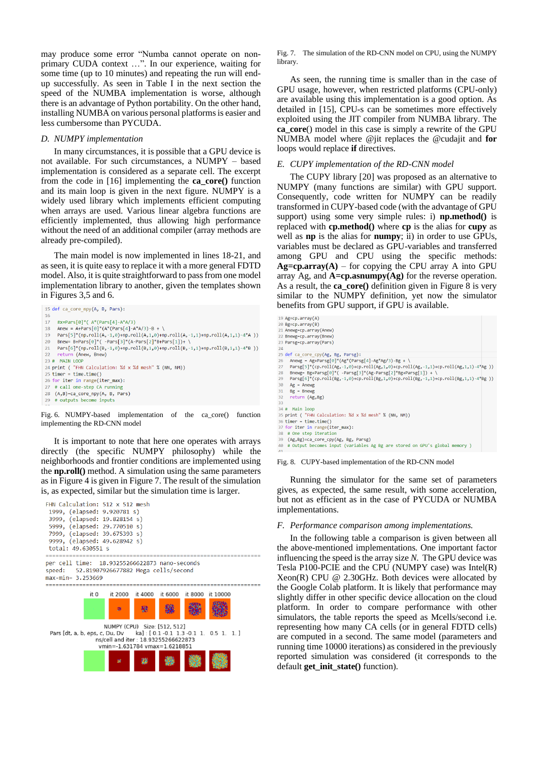may produce some error "Numba cannot operate on nonprimary CUDA context …". In our experience, waiting for some time (up to 10 minutes) and repeating the run will endup successfully. As seen in Table I in the next section the speed of the NUMBA implementation is worse, although there is an advantage of Python portability. On the other hand, installing NUMBA on various personal platforms is easier and less cumbersome than PYCUDA.

#### *D. NUMPY implementation*

In many circumstances, it is possible that a GPU device is not available. For such circumstances, a NUMPY – based implementation is considered as a separate cell. The excerpt from the code in [16] implementing the **ca\_core()** function and its main loop is given in the next figure. NUMPY is a widely used library which implements efficient computing when arrays are used. Various linear algebra functions are efficiently implemented, thus allowing high performance without the need of an additional compiler (array methods are already pre-compiled).

The main model is now implemented in lines 18-21, and as seen, it is quite easy to replace it with a more general FDTD model. Also, it is quite straightforward to pass from one model implementation library to another, given the templates shown in Figures 3,5 and 6.

```
15 def ca_core_npy(A, B, Pars):
16#x=Pars[0]*( A*(Pars[4]-A*A/3)<br>Anew = A+Pars[0]*(A*(Pars[4]-A*A/3)-B + \
1718
     Pars[5]*(np.roll(A,-1,0)+np.roll(A,1,0)+np.roll(A,-1,1)+np.roll(A,1,1)-4*A))
20Bnew= B+Pars[0]*( -Pars[3]*(A-Pars[2]*B+Pars[1])+ \
     Pars[6]*(np.roll(B,-1,0)+np.roll(B,1,0)+np.roll(B,-1,1)+np.roll(B,1,1)-4*B))
2122return (Anew, Bnew)
23 # MAIN LOOP
24 print ( "FHN Calculation: %d x %d mesh" % (NN, NM))<br>25 timer = time.time()
26 for iter in range(iter_max):
27 # call one-step CA running
28 (A,B)=ca_core_npy(A, B, Pars)
29 # outputs become inputs
```
Fig. 6. NUMPY-based implementation of the ca\_core() function implementing the RD-CNN model

It is important to note that here one operates with arrays directly (the specific NUMPY philosophy) while the neighborhoods and frontier conditions are implemented using the **np.roll()** method. A simulation using the same parameters as in Figure 4 is given in Figure 7. The result of the simulation is, as expected, similar but the simulation time is larger.



Fig. 7. The simulation of the RD-CNN model on CPU, using the NUMPY library.

As seen, the running time is smaller than in the case of GPU usage, however, when restricted platforms (CPU-only) are available using this implementation is a good option. As detailed in [15], CPU-s can be sometimes more effectively exploited using the JIT compiler from NUMBA library. The **ca\_core**() model in this case is simply a rewrite of the GPU NUMBA model where @jit replaces the @cudajit and **for** loops would replace **if** directives.

# *E. CUPY implementation of the RD-CNN model*

The CUPY library [20] was proposed as an alternative to NUMPY (many functions are similar) with GPU support. Consequently, code written for NUMPY can be readily transformed in CUPY-based code (with the advantage of GPU support) using some very simple rules: i) **np.method()** is replaced with **cp.method()** where **cp** is the alias for **cupy** as well as **np** is the alias for **numpy**; ii) in order to use GPUs, variables must be declared as GPU-variables and transferred among GPU and CPU using the specific methods:  $Ag=cp.array(A)$  – for copying the CPU array A into GPU array Ag, and **A=cp.asnumpy(Ag)** for the reverse operation. As a result, the **ca\_core()** definition given in Figure 8 is very similar to the NUMPY definition, yet now the simulator benefits from GPU support, if GPU is available.

```
19 Ag=cp.array(A)
23 Ag epianiay(A)<br>20 Bg=cp.array(B)<br>21 Anewg=cp.array(Anew)
22 Bnewg=cn.array(Bnew)
 23 Parsg=cp.array(Pars)
 \overline{24}--<br>25 def ca_core_cpy(Ag, Bg, Parsg):<br>26 Anewg = Ag+Parsg[0]*(Ag*(Parsg[4]-Ag*Ag/3)-Bg +
       Parsg[5]*(cp.roll(Ag,-1,0)+cp.roll(Ag,1,0)+cp.roll(Ag,-1,1)+cp.roll(Ag,1,1)-4*Ag ))<br>Bnewg= Bg+Parsg[0]*( -Parsg[3]*(Ag-Parsg[2]*Bg+Parsg[1]) + \<br>Bnewg= Bg+Parsg[0]*( -Parsg[3]*(Ag-Parsg[2]*Bg+Parsg[1]) + \<br>Parsg[6]*(cp.ro
27\overline{29}Ag = Anewg<br>Bg = Bnewg\overline{3}a\overline{31}32return (Ag, Bg)
 ąą
 34 # Main loop
35 \# Main Loop<br>35 \text{print} ( "FHN Calculation: %d x %d mesh" % (NN, NM))<br>36 timer = time.time()
 37 for iter in range(iter max):
      # One step iteration
 rac{1}{39}(Ag, Bg)=ca_core_cpy(Ag, Bg, Parsg)
40^{\circ}# Output becomes input (variables Ag Bg are stored on GPU's global memory )
Fig. 8. CUPY-based implementation of the RD-CNN model
```
Running the simulator for the same set of parameters gives, as expected, the same result, with some acceleration, but not as efficient as in the case of PYCUDA or NUMBA implementations.

### *F. Performance comparison among implementations.*

In the following table a comparison is given between all the above-mentioned implementations. One important factor influencing the speed is the array size *N.* The GPU device was Tesla P100-PCIE and the CPU (NUMPY case) was Intel(R) Xeon(R) CPU @ 2.30GHz. Both devices were allocated by the Google Colab platform. It is likely that performance may slightly differ in other specific device allocation on the cloud platform. In order to compare performance with other simulators, the table reports the speed as Mcells/second i.e. representing how many CA cells (or in general FDTD cells) are computed in a second. The same model (parameters and running time 10000 iterations) as considered in the previously reported simulation was considered (it corresponds to the default **get\_init\_state()** function).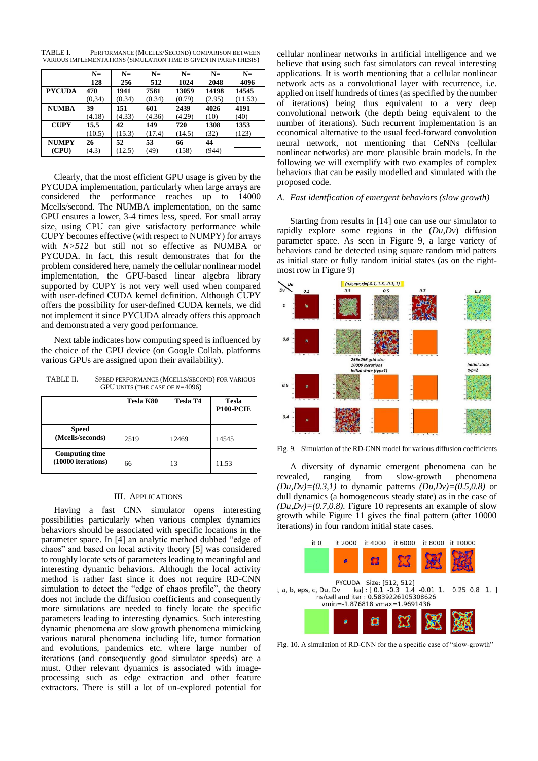TABLE I. PERFORMANCE (MCELLS/SECOND) COMPARISON BETWEEN VARIOUS IMPLEMENTATIONS (SIMULATION TIME IS GIVEN IN PARENTHESIS)

|               | $N=$<br>128 | $N=$<br>256 | $N=$<br>512 | $N=$<br>1024 | $N=$<br>2048 | $N=$<br>4096 |
|---------------|-------------|-------------|-------------|--------------|--------------|--------------|
| <b>PYCUDA</b> | 470         | 1941        | 7581        | 13059        | 14198        | 14545        |
|               | (0.34)      | (0.34)      | (0.34)      | (0.79)       | (2.95)       | (11.53)      |
| <b>NUMBA</b>  | 39          | 151         | 601         | 2439         | 4026         | 4191         |
|               | (4.18)      | (4.33)      | (4.36)      | (4.29)       | (10)         | (40)         |
| <b>CUPY</b>   | 15.5        | 42          | 149         | 720          | 1308         | 1353         |
|               | (10.5)      | (15.3)      | (17.4)      | (14.5)       | (32)         | (123)        |
| <b>NUMPY</b>  | 26          | 52          | 53          | 66           | 44           |              |
| (CPU)         | (4.3)       | (12.5)      | (49)        | (158)        | (944)        |              |

Clearly, that the most efficient GPU usage is given by the PYCUDA implementation, particularly when large arrays are considered the performance reaches up to 14000 Mcells/second. The NUMBA implementation, on the same GPU ensures a lower, 3-4 times less, speed. For small array size, using CPU can give satisfactory performance while CUPY becomes effective (with respect to NUMPY) for arrays with *N>512* but still not so effective as NUMBA or PYCUDA. In fact, this result demonstrates that for the problem considered here, namely the cellular nonlinear model implementation, the GPU-based linear algebra library supported by CUPY is not very well used when compared with user-defined CUDA kernel definition. Although CUPY offers the possibility for user-defined CUDA kernels, we did not implement it since PYCUDA already offers this approach and demonstrated a very good performance.

Next table indicates how computing speed is influenced by the choice of the GPU device (on Google Collab. platforms various GPUs are assigned upon their availability).

TABLE II. SPEED PERFORMANCE (MCELLS/SECOND) FOR VARIOUS GPU UNITS (THE CASE OF *N=*4096)

|                                             | Tesla K80 | <b>Tesla T4</b> | <b>Tesla</b><br>P <sub>100</sub> -PCIE |
|---------------------------------------------|-----------|-----------------|----------------------------------------|
| <b>Speed</b><br>(Mcells/seconds)            | 2519      | 12469           | 14545                                  |
| <b>Computing time</b><br>(10000 iterations) | 66        | 13              | 11.53                                  |

#### III. APPLICATIONS

Having a fast CNN simulator opens interesting possibilities particularly when various complex dynamics behaviors should be associated with specific locations in the parameter space. In [4] an analytic method dubbed "edge of chaos" and based on local activity theory [5] was considered to roughly locate sets of parameters leading to meaningful and interesting dynamic behaviors. Although the local activity method is rather fast since it does not require RD-CNN simulation to detect the "edge of chaos profile", the theory does not include the diffusion coefficients and consequently more simulations are needed to finely locate the specific parameters leading to interesting dynamics. Such interesting dynamic phenomena are slow growth phenomena mimicking various natural phenomena including life, tumor formation and evolutions, pandemics etc. where large number of iterations (and consequently good simulator speeds) are a must. Other relevant dynamics is associated with imageprocessing such as edge extraction and other feature extractors. There is still a lot of un-explored potential for cellular nonlinear networks in artificial intelligence and we believe that using such fast simulators can reveal interesting applications. It is worth mentioning that a cellular nonlinear network acts as a convolutional layer with recurrence, i.e. applied on itself hundreds of times (as specified by the number of iterations) being thus equivalent to a very deep convolutional network (the depth being equivalent to the number of iterations). Such recurrent implementation is an economical alternative to the usual feed-forward convolution neural network, not mentioning that CeNNs (cellular nonlinear networks) are more plausible brain models. In the following we will exemplify with two examples of complex behaviors that can be easily modelled and simulated with the proposed code.

## *A. Fast identfication of emergent behaviors (slow growth)*

Starting from results in [14] one can use our simulator to rapidly explore some regions in the (*Du*,*Dv*) diffusion parameter space. As seen in Figure 9, a large variety of behaviors cand be detected using square random mid patters as initial state or fully random initial states (as on the rightmost row in Figure 9)



Fig. 9. Simulation of the RD-CNN model for various diffusion coefficients

A diversity of dynamic emergent phenomena can be revealed, ranging from slow-growth phenomena *(Du,Dv)*=*(0.3,1)* to dynamic patterns *(Du,Dv)*=*(0.5,0.8)* or dull dynamics (a homogeneous steady state) as in the case of  $(Du, Dv) = (0.7, 0.8)$ . Figure 10 represents an example of slow growth while Figure 11 gives the final pattern (after 10000 iterations) in four random initial state cases.



Fig. 10. A simulation of RD-CNN for the a specific case of "slow-growth"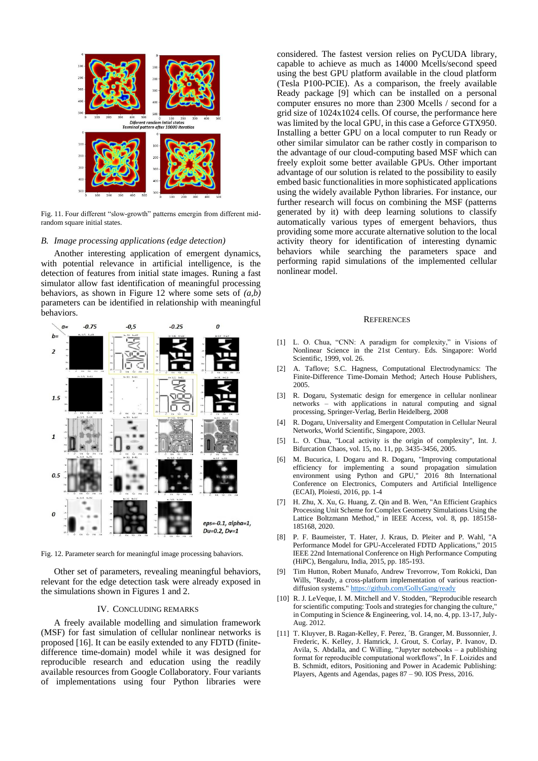

Fig. 11. Four different "slow-growth" patterns emergin from different midrandom square initial states.

# *B. Image processing applications (edge detection)*

Another interesting application of emergent dynamics, with potential relevance in artificial intelligence, is the detection of features from initial state images. Runing a fast simulator allow fast identification of meaningful processing behaviors, as shown in Figure 12 where some sets of *(a,b)* parameters can be identified in relationship with meaningful behaviors.



Fig. 12. Parameter search for meaningful image processing bahaviors.

Other set of parameters, revealing meaningful behaviors, relevant for the edge detection task were already exposed in the simulations shown in Figures 1 and 2.

# IV. CONCLUDING REMARKS

A freely available modelling and simulation framework (MSF) for fast simulation of cellular nonlinear networks is proposed [16]. It can be easily extended to any FDTD (finitedifference time-domain) model while it was designed for reproducible research and education using the readily available resources from Google Collaboratory. Four variants of implementations using four Python libraries were

considered. The fastest version relies on PyCUDA library, capable to achieve as much as 14000 Mcells/second speed using the best GPU platform available in the cloud platform (Tesla P100-PCIE). As a comparison, the freely available Ready package [9] which can be installed on a personal computer ensures no more than 2300 Mcells / second for a grid size of 1024x1024 cells. Of course, the performance here was limited by the local GPU, in this case a Geforce GTX950. Installing a better GPU on a local computer to run Ready or other similar simulator can be rather costly in comparison to the advantage of our cloud-computing based MSF which can freely exploit some better available GPUs. Other important advantage of our solution is related to the possibility to easily embed basic functionalities in more sophisticated applications using the widely available Python libraries. For instance, our further research will focus on combining the MSF (patterns generated by it) with deep learning solutions to classify automatically various types of emergent behaviors, thus providing some more accurate alternative solution to the local activity theory for identification of interesting dynamic behaviors while searching the parameters space and performing rapid simulations of the implemented cellular nonlinear model.

## **REFERENCES**

- [1] L. O. Chua, "CNN: A paradigm for complexity," in Visions of Nonlinear Science in the 21st Century. Eds. Singapore: World Scientific, 1999, vol. 26.
- [2] A. Taflove; S.C. Hagness, Computational Electrodynamics: The Finite-Difference Time-Domain Method; Artech House Publishers, 2005.
- [3] R. Dogaru, Systematic design for emergence in cellular nonlinear networks – with applications in natural computing and signal processing, Springer-Verlag, Berlin Heidelberg, 2008
- [4] R. Dogaru, Universality and Emergent Computation in Cellular Neural Networks, World Scientific, Singapore, 2003.
- [5] L. O. Chua, "Local activity is the origin of complexity", Int. J. Bifurcation Chaos, vol. 15, no. 11, pp. 3435-3456, 2005.
- [6] M. Bucurica, I. Dogaru and R. Dogaru, "Improving computational efficiency for implementing a sound propagation simulation environment using Python and GPU," 2016 8th International Conference on Electronics, Computers and Artificial Intelligence (ECAI), Ploiesti, 2016, pp. 1-4
- [7] H. Zhu, X. Xu, G. Huang, Z. Qin and B. Wen, "An Efficient Graphics Processing Unit Scheme for Complex Geometry Simulations Using the Lattice Boltzmann Method," in IEEE Access, vol. 8, pp. 185158- 185168, 2020.
- [8] P. F. Baumeister, T. Hater, J. Kraus, D. Pleiter and P. Wahl, "A Performance Model for GPU-Accelerated FDTD Applications," 2015 IEEE 22nd International Conference on High Performance Computing (HiPC), Bengaluru, India, 2015, pp. 185-193.
- [9] Tim Hutton, Robert Munafo, Andrew Trevorrow, Tom Rokicki, Dan Wills, "Ready, a cross-platform implementation of various reaction-diffusion systems.[" https://github.com/GollyGang/ready](https://github.com/GollyGang/ready)
- [10] R. J. LeVeque, I. M. Mitchell and V. Stodden, "Reproducible research for scientific computing: Tools and strategies for changing the culture," in Computing in Science & Engineering, vol. 14, no. 4, pp. 13-17, July-Aug. 2012.
- [11] T. Kluyver, B. Ragan-Kelley, F. Perez, ´B. Granger, M. Bussonnier, J. Frederic, K. Kelley, J. Hamrick, J. Grout, S. Corlay, P. Ivanov, D. Avila, S. Abdalla, and C Willing, "Jupyter notebooks – a publishing format for reproducible computational workflows", In F. Loizides and B. Schmidt, editors, Positioning and Power in Academic Publishing: Players, Agents and Agendas, pages 87 – 90. IOS Press, 2016.